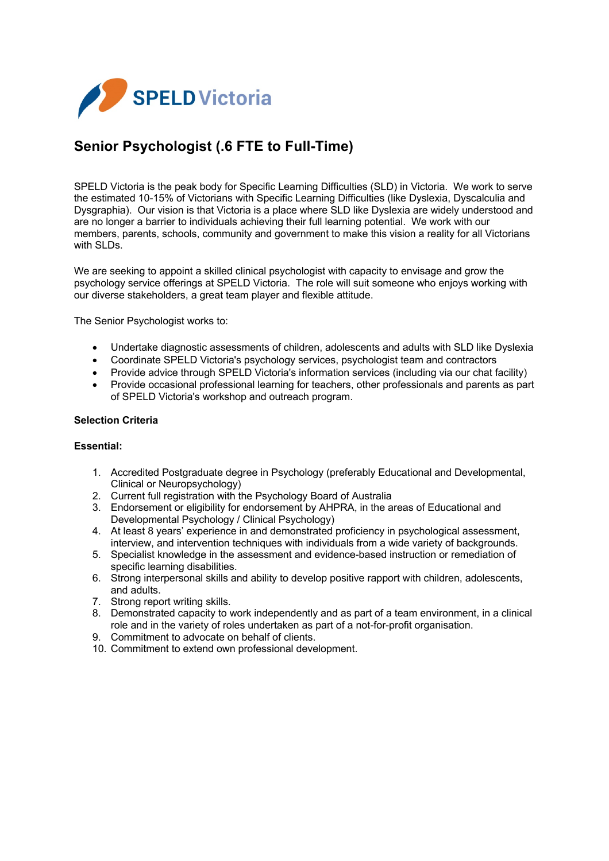

# **Senior Psychologist (.6 FTE to Full-Time)**

SPELD Victoria is the peak body for Specific Learning Difficulties (SLD) in Victoria. We work to serve the estimated 10-15% of Victorians with Specific Learning Difficulties (like Dyslexia, Dyscalculia and Dysgraphia). Our vision is that Victoria is a place where SLD like Dyslexia are widely understood and are no longer a barrier to individuals achieving their full learning potential. We work with our members, parents, schools, community and government to make this vision a reality for all Victorians with SLDs.

We are seeking to appoint a skilled clinical psychologist with capacity to envisage and grow the psychology service offerings at SPELD Victoria. The role will suit someone who enjoys working with our diverse stakeholders, a great team player and flexible attitude.

The Senior Psychologist works to:

- Undertake diagnostic assessments of children, adolescents and adults with SLD like Dyslexia
- Coordinate SPELD Victoria's psychology services, psychologist team and contractors<br>• Provide advice through SPELD Victoria's information services (including via our chat f
- Provide advice through SPELD Victoria's information services (including via our chat facility)
- Provide occasional professional learning for teachers, other professionals and parents as part of SPELD Victoria's workshop and outreach program.

## **Selection Criteria**

#### **Essential:**

- 1. Accredited Postgraduate degree in Psychology (preferably Educational and Developmental, Clinical or Neuropsychology)
- 2. Current full registration with the Psychology Board of Australia
- 3. Endorsement or eligibility for endorsement by AHPRA, in the areas of Educational and Developmental Psychology / Clinical Psychology)
- 4. At least 8 years' experience in and demonstrated proficiency in psychological assessment, interview, and intervention techniques with individuals from a wide variety of backgrounds.
- 5. Specialist knowledge in the assessment and evidence-based instruction or remediation of specific learning disabilities.
- 6. Strong interpersonal skills and ability to develop positive rapport with children, adolescents, and adults.
- 7. Strong report writing skills.
- 8. Demonstrated capacity to work independently and as part of a team environment, in a clinical role and in the variety of roles undertaken as part of a not-for-profit organisation.
- 9. Commitment to advocate on behalf of clients.
- 10. Commitment to extend own professional development.